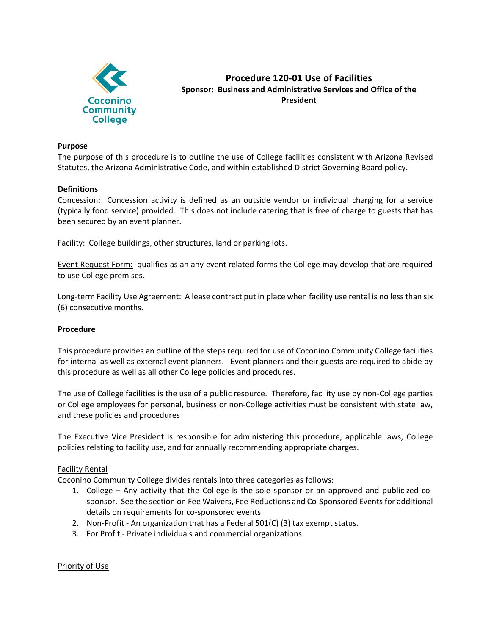

**Procedure 120-01 Use of Facilities Sponsor: Business and Administrative Services and Office of the President**

#### **Purpose**

The purpose of this procedure is to outline the use of College facilities consistent with Arizona Revised Statutes, the Arizona Administrative Code, and within established District Governing Board policy.

#### **Definitions**

Concession: Concession activity is defined as an outside vendor or individual charging for a service (typically food service) provided. This does not include catering that is free of charge to guests that has been secured by an event planner.

Facility: College buildings, other structures, land or parking lots.

Event Request Form: qualifies as an any event related forms the College may develop that are required to use College premises.

Long-term Facility Use Agreement: A lease contract put in place when facility use rental is no less than six (6) consecutive months.

#### **Procedure**

This procedure provides an outline of the steps required for use of Coconino Community College facilities for internal as well as external event planners. Event planners and their guests are required to abide by this procedure as well as all other College policies and procedures.

The use of College facilities is the use of a public resource. Therefore, facility use by non-College parties or College employees for personal, business or non-College activities must be consistent with state law, and these policies and procedures

The Executive Vice President is responsible for administering this procedure, applicable laws, College policies relating to facility use, and for annually recommending appropriate charges.

#### Facility Rental

Coconino Community College divides rentals into three categories as follows:

- 1. College Any activity that the College is the sole sponsor or an approved and publicized cosponsor. See the section on Fee Waivers, Fee Reductions and Co-Sponsored Events for additional details on requirements for co-sponsored events.
- 2. Non-Profit An organization that has a Federal 501(C) (3) tax exempt status.
- 3. For Profit Private individuals and commercial organizations.

#### Priority of Use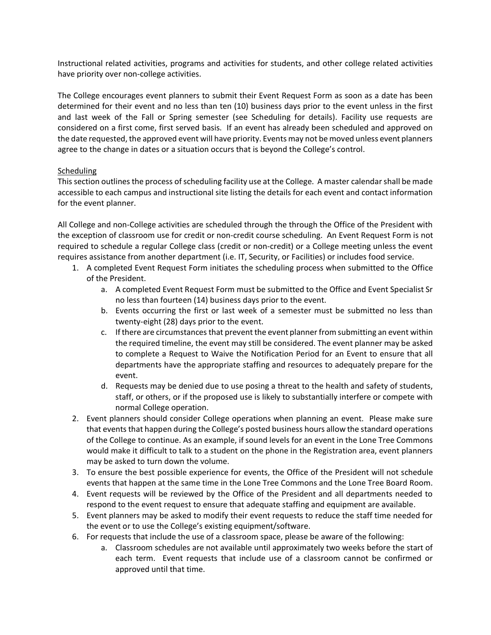Instructional related activities, programs and activities for students, and other college related activities have priority over non-college activities.

The College encourages event planners to submit their Event Request Form as soon as a date has been determined for their event and no less than ten (10) business days prior to the event unless in the first and last week of the Fall or Spring semester (see Scheduling for details). Facility use requests are considered on a first come, first served basis. If an event has already been scheduled and approved on the date requested, the approved event will have priority. Events may not be moved unless event planners agree to the change in dates or a situation occurs that is beyond the College's control.

# Scheduling

This section outlines the process of scheduling facility use at the College. A master calendar shall be made accessible to each campus and instructional site listing the details for each event and contact information for the event planner.

All College and non-College activities are scheduled through the through the Office of the President with the exception of classroom use for credit or non-credit course scheduling. An Event Request Form is not required to schedule a regular College class (credit or non-credit) or a College meeting unless the event requires assistance from another department (i.e. IT, Security, or Facilities) or includes food service.

- 1. A completed Event Request Form initiates the scheduling process when submitted to the Office of the President.
	- a. A completed Event Request Form must be submitted to the Office and Event Specialist Sr no less than fourteen (14) business days prior to the event.
	- b. Events occurring the first or last week of a semester must be submitted no less than twenty-eight (28) days prior to the event.
	- c. If there are circumstances that prevent the event planner from submitting an event within the required timeline, the event may still be considered. The event planner may be asked to complete a Request to Waive the Notification Period for an Event to ensure that all departments have the appropriate staffing and resources to adequately prepare for the event.
	- d. Requests may be denied due to use posing a threat to the health and safety of students, staff, or others, or if the proposed use is likely to substantially interfere or compete with normal College operation.
- 2. Event planners should consider College operations when planning an event. Please make sure that events that happen during the College's posted business hours allow the standard operations of the College to continue. As an example, if sound levels for an event in the Lone Tree Commons would make it difficult to talk to a student on the phone in the Registration area, event planners may be asked to turn down the volume.
- 3. To ensure the best possible experience for events, the Office of the President will not schedule events that happen at the same time in the Lone Tree Commons and the Lone Tree Board Room.
- 4. Event requests will be reviewed by the Office of the President and all departments needed to respond to the event request to ensure that adequate staffing and equipment are available.
- 5. Event planners may be asked to modify their event requests to reduce the staff time needed for the event or to use the College's existing equipment/software.
- 6. For requests that include the use of a classroom space, please be aware of the following:
	- a. Classroom schedules are not available until approximately two weeks before the start of each term. Event requests that include use of a classroom cannot be confirmed or approved until that time.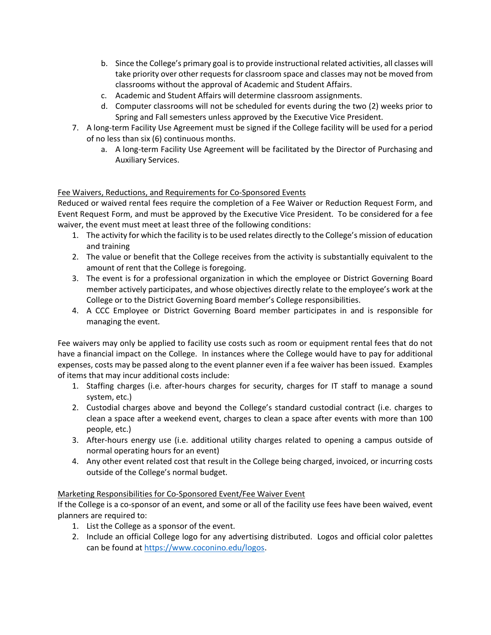- b. Since the College's primary goal is to provide instructional related activities, all classes will take priority over other requests for classroom space and classes may not be moved from classrooms without the approval of Academic and Student Affairs.
- c. Academic and Student Affairs will determine classroom assignments.
- d. Computer classrooms will not be scheduled for events during the two (2) weeks prior to Spring and Fall semesters unless approved by the Executive Vice President.
- 7. A long-term Facility Use Agreement must be signed if the College facility will be used for a period of no less than six (6) continuous months.
	- a. A long-term Facility Use Agreement will be facilitated by the Director of Purchasing and Auxiliary Services.

# Fee Waivers, Reductions, and Requirements for Co-Sponsored Events

Reduced or waived rental fees require the completion of a Fee Waiver or Reduction Request Form, and Event Request Form, and must be approved by the Executive Vice President. To be considered for a fee waiver, the event must meet at least three of the following conditions:

- 1. The activity for which the facility is to be used relates directly to the College's mission of education and training
- 2. The value or benefit that the College receives from the activity is substantially equivalent to the amount of rent that the College is foregoing.
- 3. The event is for a professional organization in which the employee or District Governing Board member actively participates, and whose objectives directly relate to the employee's work at the College or to the District Governing Board member's College responsibilities.
- 4. A CCC Employee or District Governing Board member participates in and is responsible for managing the event.

Fee waivers may only be applied to facility use costs such as room or equipment rental fees that do not have a financial impact on the College. In instances where the College would have to pay for additional expenses, costs may be passed along to the event planner even if a fee waiver has been issued. Examples of items that may incur additional costs include:

- 1. Staffing charges (i.e. after-hours charges for security, charges for IT staff to manage a sound system, etc.)
- 2. Custodial charges above and beyond the College's standard custodial contract (i.e. charges to clean a space after a weekend event, charges to clean a space after events with more than 100 people, etc.)
- 3. After-hours energy use (i.e. additional utility charges related to opening a campus outside of normal operating hours for an event)
- 4. Any other event related cost that result in the College being charged, invoiced, or incurring costs outside of the College's normal budget.

# Marketing Responsibilities for Co-Sponsored Event/Fee Waiver Event

If the College is a co-sponsor of an event, and some or all of the facility use fees have been waived, event planners are required to:

- 1. List the College as a sponsor of the event.
- 2. Include an official College logo for any advertising distributed. Logos and official color palettes can be found at https://www.coconino.edu/logos.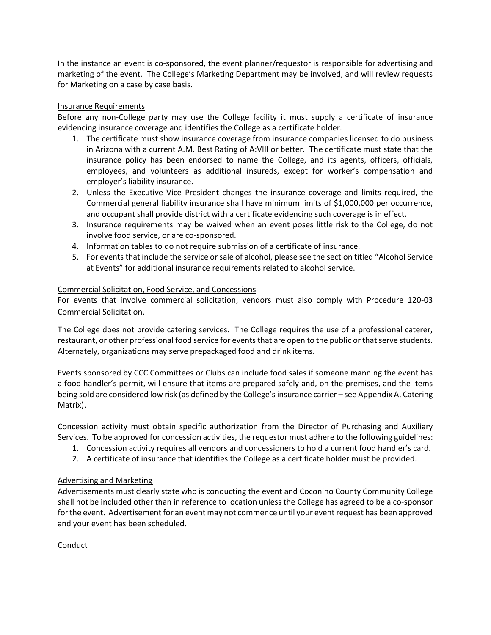In the instance an event is co-sponsored, the event planner/requestor is responsible for advertising and marketing of the event. The College's Marketing Department may be involved, and will review requests for Marketing on a case by case basis.

### Insurance Requirements

Before any non-College party may use the College facility it must supply a certificate of insurance evidencing insurance coverage and identifies the College as a certificate holder.

- 1. The certificate must show insurance coverage from insurance companies licensed to do business in Arizona with a current A.M. Best Rating of A:VIII or better. The certificate must state that the insurance policy has been endorsed to name the College, and its agents, officers, officials, employees, and volunteers as additional insureds, except for worker's compensation and employer's liability insurance.
- 2. Unless the Executive Vice President changes the insurance coverage and limits required, the Commercial general liability insurance shall have minimum limits of \$1,000,000 per occurrence, and occupant shall provide district with a certificate evidencing such coverage is in effect.
- 3. Insurance requirements may be waived when an event poses little risk to the College, do not involve food service, or are co-sponsored.
- 4. Information tables to do not require submission of a certificate of insurance.
- 5. For events that include the service or sale of alcohol, please see the section titled "Alcohol Service at Events" for additional insurance requirements related to alcohol service.

# Commercial Solicitation, Food Service, and Concessions

For events that involve commercial solicitation, vendors must also comply with Procedure 120-03 Commercial Solicitation.

The College does not provide catering services. The College requires the use of a professional caterer, restaurant, or other professional food service for events that are open to the public or that serve students. Alternately, organizations may serve prepackaged food and drink items.

Events sponsored by CCC Committees or Clubs can include food sales if someone manning the event has a food handler's permit, will ensure that items are prepared safely and, on the premises, and the items being sold are considered low risk (as defined by the College's insurance carrier – see Appendix A, Catering Matrix).

Concession activity must obtain specific authorization from the Director of Purchasing and Auxiliary Services. To be approved for concession activities, the requestor must adhere to the following guidelines:

- 1. Concession activity requires all vendors and concessioners to hold a current food handler's card.
- 2. A certificate of insurance that identifies the College as a certificate holder must be provided.

### Advertising and Marketing

Advertisements must clearly state who is conducting the event and Coconino County Community College shall not be included other than in reference to location unless the College has agreed to be a co-sponsor for the event. Advertisement for an event may not commence until your event request has been approved and your event has been scheduled.

### Conduct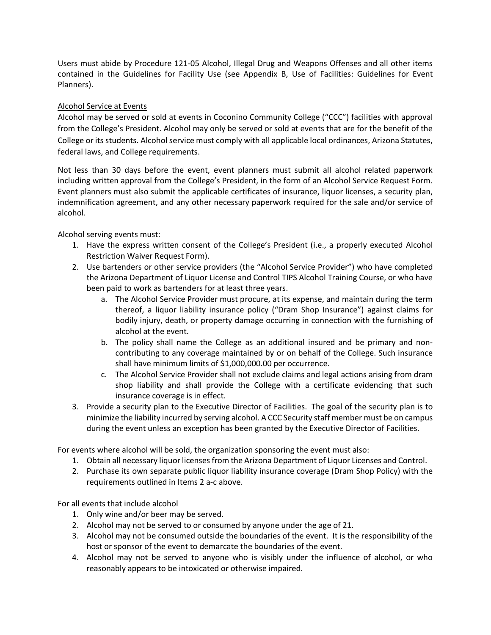Users must abide by Procedure 121-05 Alcohol, Illegal Drug and Weapons Offenses and all other items contained in the Guidelines for Facility Use (see Appendix B, Use of Facilities: Guidelines for Event Planners).

# Alcohol Service at Events

Alcohol may be served or sold at events in Coconino Community College ("CCC") facilities with approval from the College's President. Alcohol may only be served or sold at events that are for the benefit of the College or its students. Alcohol service must comply with all applicable local ordinances, Arizona Statutes, federal laws, and College requirements.

Not less than 30 days before the event, event planners must submit all alcohol related paperwork including written approval from the College's President, in the form of an Alcohol Service Request Form. Event planners must also submit the applicable certificates of insurance, liquor licenses, a security plan, indemnification agreement, and any other necessary paperwork required for the sale and/or service of alcohol.

Alcohol serving events must:

- 1. Have the express written consent of the College's President (i.e., a properly executed Alcohol Restriction Waiver Request Form).
- 2. Use bartenders or other service providers (the "Alcohol Service Provider") who have completed the Arizona Department of Liquor License and Control TIPS Alcohol Training Course, or who have been paid to work as bartenders for at least three years.
	- a. The Alcohol Service Provider must procure, at its expense, and maintain during the term thereof, a liquor liability insurance policy ("Dram Shop Insurance") against claims for bodily injury, death, or property damage occurring in connection with the furnishing of alcohol at the event.
	- b. The policy shall name the College as an additional insured and be primary and noncontributing to any coverage maintained by or on behalf of the College. Such insurance shall have minimum limits of \$1,000,000.00 per occurrence.
	- c. The Alcohol Service Provider shall not exclude claims and legal actions arising from dram shop liability and shall provide the College with a certificate evidencing that such insurance coverage is in effect.
- 3. Provide a security plan to the Executive Director of Facilities. The goal of the security plan is to minimize the liability incurred by serving alcohol. A CCC Security staff member must be on campus during the event unless an exception has been granted by the Executive Director of Facilities.

For events where alcohol will be sold, the organization sponsoring the event must also:

- 1. Obtain all necessary liquor licenses from the Arizona Department of Liquor Licenses and Control.
- 2. Purchase its own separate public liquor liability insurance coverage (Dram Shop Policy) with the requirements outlined in Items 2 a-c above.

For all events that include alcohol

- 1. Only wine and/or beer may be served.
- 2. Alcohol may not be served to or consumed by anyone under the age of 21.
- 3. Alcohol may not be consumed outside the boundaries of the event. It is the responsibility of the host or sponsor of the event to demarcate the boundaries of the event.
- 4. Alcohol may not be served to anyone who is visibly under the influence of alcohol, or who reasonably appears to be intoxicated or otherwise impaired.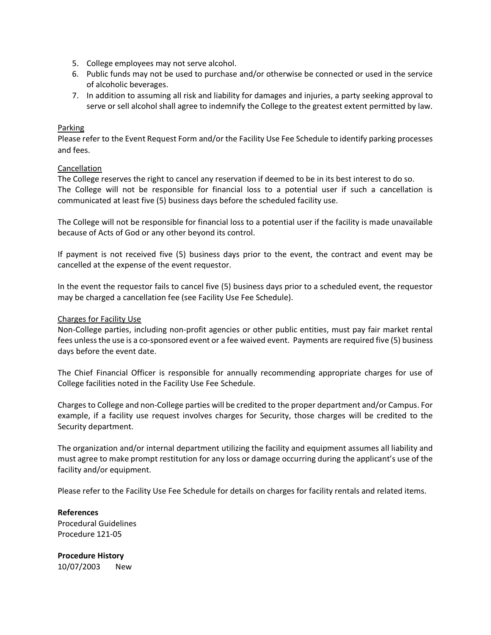- 5. College employees may not serve alcohol.
- 6. Public funds may not be used to purchase and/or otherwise be connected or used in the service of alcoholic beverages.
- 7. In addition to assuming all risk and liability for damages and injuries, a party seeking approval to serve or sell alcohol shall agree to indemnify the College to the greatest extent permitted by law.

# Parking

Please refer to the Event Request Form and/or the Facility Use Fee Schedule to identify parking processes and fees.

# Cancellation

The College reserves the right to cancel any reservation if deemed to be in its best interest to do so. The College will not be responsible for financial loss to a potential user if such a cancellation is communicated at least five (5) business days before the scheduled facility use.

The College will not be responsible for financial loss to a potential user if the facility is made unavailable because of Acts of God or any other beyond its control.

If payment is not received five (5) business days prior to the event, the contract and event may be cancelled at the expense of the event requestor.

In the event the requestor fails to cancel five (5) business days prior to a scheduled event, the requestor may be charged a cancellation fee (see Facility Use Fee Schedule).

### Charges for Facility Use

Non-College parties, including non-profit agencies or other public entities, must pay fair market rental fees unless the use is a co-sponsored event or a fee waived event. Payments are required five (5) business days before the event date.

The Chief Financial Officer is responsible for annually recommending appropriate charges for use of College facilities noted in the Facility Use Fee Schedule.

Charges to College and non-College parties will be credited to the proper department and/or Campus. For example, if a facility use request involves charges for Security, those charges will be credited to the Security department.

The organization and/or internal department utilizing the facility and equipment assumes all liability and must agree to make prompt restitution for any loss or damage occurring during the applicant's use of the facility and/or equipment.

Please refer to the Facility Use Fee Schedule for details on charges for facility rentals and related items.

**References** Procedural Guidelines Procedure 121-05

**Procedure History** 10/07/2003 New